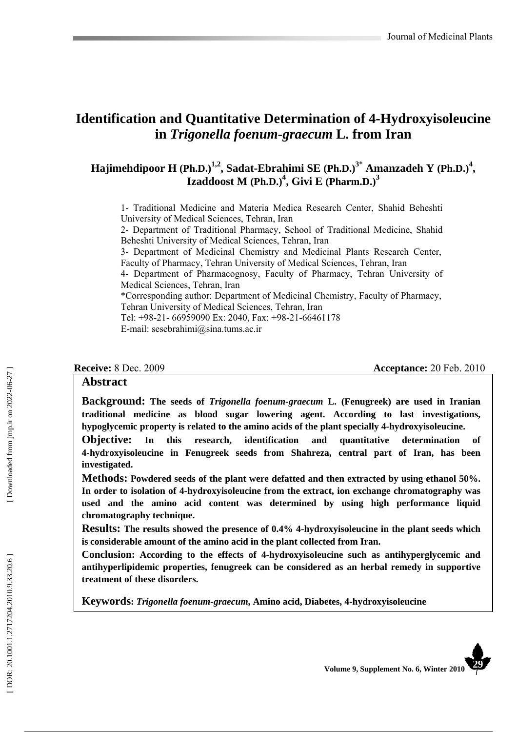# **Identification and Quantitative Determination of 4-Hydroxyisoleucine in** *Trigonella foenum-graecum* **L. from Iran**

## **Hajimehdipoor H** (Ph.D.)<sup>1,2</sup>, Sadat-Ebrahimi SE (Ph.D.)<sup>3\*</sup> Amanzadeh Y (Ph.D.)<sup>4</sup>, **Izaddoost M (Ph.D.) 4 , Givi E (Pharm.D.) 3**

1- Traditional Medicine and Materia Medica Research Center, Shahid Beheshti University of Medical Sciences, Tehran, Iran

2- Department of Traditional Pharmacy, School of Traditional Medicine, Shahid Beheshti University of Medical Sciences, Tehran, Iran

3- Department of Medicinal Chemistry and Medicinal Plants Research Center, Faculty of Pharmacy, Tehran University of Medical Sciences, Tehran, Iran

4- Department of Pharmacognosy, Faculty of Pharmacy, Tehran University of Medical Sciences, Tehran, Iran

\*Corresponding author: Department of Medicinal Chemistry, Faculty of Pharmacy, Tehran University of Medical Sciences, Tehran, Iran

Tel: +98-21- 66959090 Ex: 2040, Fax: +98-21-66461178 E-mail: sesebrahimi@sina.tums.ac.ir

#### **Receive:** 8 Dec. 2009 **Acceptance:** 20 Feb. 2010

#### **Abstract**

**Background: The seeds of** *Trigonella foenum-graecum* **L. (Fenugreek) are used in Iranian traditional medicine as blood sugar lowering agent. According to last investigations, hypoglycemic property is related to the amino acids of the plant specially 4-hydroxyisoleucine.**

**Objective: In this research, identification and quantitative determination of 4-hydroxyisoleucine in Fenugreek seeds from Shahreza, central part of Iran, has been investigated.**

**Methods: Powdered seeds of the plant were defatted and then extracted by using ethanol 50%. In order to isolation of 4-hydroxyisoleucine from the extract, ion exchange chromatography was used and the amino acid content was determined by using high performance liquid chromatography technique.**

**Results: The results showed the presence of 0.4% 4-hydroxyisoleucine in the plant seeds which is considerable amount of the amino acid in the plant collected from Iran.**

**Conclusion: According to the effects of 4-hydroxyisoleucine such as antihyperglycemic and antihyperlipidemic properties, fenugreek can be considered as an herbal remedy in supportive treatment of these disorders.** 

**Keywords:** *Trigonella foenum-graecum***, Amino acid, Diabetes, 4-hydroxyisoleucine**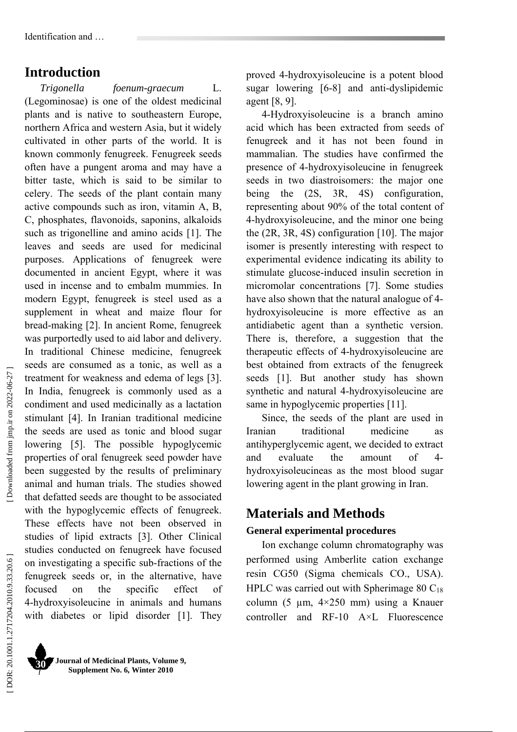# **Introduction**

*Trigonella foenum-graecum* L. (Legominosae) is one of the oldest medicinal plants and is native to southeastern Europe, northern Africa and western Asia, but it widely cultivated in other parts of the world. It is known commonly fenugreek. Fenugreek seeds often have a pungent aroma and may have a bitter taste, which is said to be similar to celery. The seeds of the plant contain many active compounds such as iron, vitamin A, B, C, phosphates, flavonoids, saponins, alkaloids such as trigonelline and amino acids [1]. The leaves and seeds are used for medicinal purposes. Applications of fenugreek were documented in ancient Egypt, where it was used in incense and to embalm mummies. In modern Egypt, fenugreek is steel used as a supplement in wheat and maize flour for bread-making [2]. In ancient Rome, fenugreek was purportedly used to aid labor and delivery. In traditional Chinese medicine, fenugreek seeds are consumed as a tonic, as well as a treatment for weakness and edema of legs [3]. In India, fenugreek is commonly used as a condiment and used medicinally as a lactation stimulant [4]. In Iranian traditional medicine the seeds are used as tonic and blood sugar lowering [5]. The possible hypoglycemic properties of oral fenugreek seed powder have been suggested by the results of preliminary animal and human trials. The studies showed that defatted seeds are thought to be associated with the hypoglycemic effects of fenugreek. These effects have not been observed in studies of lipid extracts [3]. Other Clinical studies conducted on fenugreek have focused on investigating a specific sub-fractions of the fenugreek seeds or, in the alternative, have focused on the specific effect of 4-hydroxyisoleucine in animals and humans with diabetes or lipid disorder [1]. They proved 4-hydroxyisoleucine is a potent blood sugar lowering [6-8] and anti-dyslipidemic agent [8, 9].

4-Hydroxyisoleucine is a branch amino acid which has been extracted from seeds of fenugreek and it has not been found in mammalian. The studies have confirmed the presence of 4-hydroxyisoleucine in fenugreek seeds in two diastroisomers: the major one being the  $(2S, 3R, 4S)$  configuration, representing about 90% of the total content of 4-hydroxyisoleucine, and the minor one being the (2R, 3R, 4S) configuration [10]. The major isomer is presently interesting with respect to experimental evidence indicating its ability to stimulate glucose-induced insulin secretion in micromolar concentrations [7]. Some studies have also shown that the natural analogue of 4 hydroxyisoleucine is more effective as an antidiabetic agent than a synthetic version. There is, therefore, a suggestion that the therapeutic effects of 4-hydroxyisoleucine are best obtained from extracts of the fenugreek seeds [1]. But another study has shown synthetic and natural 4-hydroxyisoleucine are same in hypoglycemic properties [11].

Since, the seeds of the plant are used in Iranian traditional medicine as antihyperglycemic agent, we decided to extract and evaluate the amount of 4 hydroxyisoleucineas as the most blood sugar lowering agent in the plant growing in Iran.

# **Materials and Methods**

## **General experimental procedures**

Ion exchange column chromatography was performed using Amberlite cation exchange resin CG50 (Sigma chemicals CO., USA). HPLC was carried out with Spherimage 80  $C_{18}$ column (5  $\mu$ m, 4×250 mm) using a Knauer controller and RF-10 A×L Fluorescence

Downloaded from jmp.ir on 2022-06-27]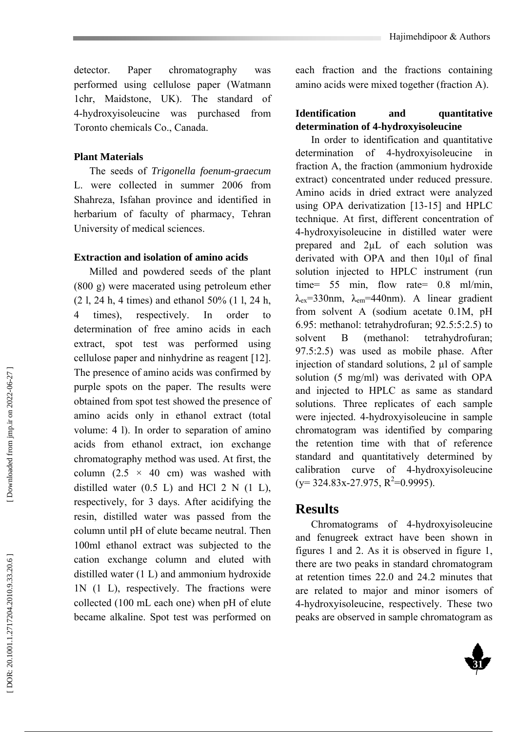detector. Paper chromatography was performed using cellulose paper (Watmann 1chr, Maidstone, UK). The standard of 4-hydroxyisoleucine was purchased from Toronto chemicals Co., Canada.

### **Plant Materials**

The seeds of *Trigonella foenum-graecum* L. were collected in summer 2006 from Shahreza, Isfahan province and identified in herbarium of faculty of pharmacy, Tehran University of medical sciences.

### **Extraction and isolation of amino acids**

Milled and powdered seeds of the plant (800 g) were macerated using petroleum ether (2 l, 24 h, 4 times) and ethanol 50% (1 l, 24 h, 4 times), respectively. In order to determination of free amino acids in each extract, spot test was performed using cellulose paper and ninhydrine as reagent [12]. The presence of amino acids was confirmed by purple spots on the paper. The results were obtained from spot test showed the presence of amino acids only in ethanol extract (total volume: 4 l). In order to separation of amino acids from ethanol extract, ion exchange chromatography method was used. At first, the column  $(2.5 \times 40$  cm) was washed with distilled water (0.5 L) and HCl 2 N (1 L), respectively, for 3 days. After acidifying the resin, distilled water was passed from the column until pH of elute became neutral. Then 100ml ethanol extract was subjected to the cation exchange column and eluted with distilled water (1 L) and ammonium hydroxide 1N (1 L), respectively. The fractions were collected (100 mL each one) when pH of elute became alkaline. Spot test was performed on each fraction and the fractions containing amino acids were mixed together (fraction A).

## **Identification and quantitative determination of 4-hydroxyisoleucine**

In order to identification and quantitative determination of 4-hydroxyisoleucine in fraction A, the fraction (ammonium hydroxide extract) concentrated under reduced pressure. Amino acids in dried extract were analyzed using OPA derivatization [13-15] and HPLC technique. At first, different concentration of 4-hydroxyisoleucine in distilled water were prepared and 2µL of each solution was derivated with OPA and then 10µl of final solution injected to HPLC instrument (run time= 55 min, flow rate= 0.8 ml/min,  $\lambda_{ex}$ =330nm,  $\lambda_{em}$ =440nm). A linear gradient from solvent A (sodium acetate 0.1M, pH 6.95: methanol: tetrahydrofuran; 92.5:5:2.5) to solvent B (methanol: tetrahydrofuran; 97.5:2.5) was used as mobile phase. After injection of standard solutions, 2 µl of sample solution (5 mg/ml) was derivated with OPA and injected to HPLC as same as standard solutions. Three replicates of each sample were injected. 4-hydroxyisoleucine in sample chromatogram was identified by comparing the retention time with that of reference standard and quantitatively determined by calibration curve of 4-hydroxyisoleucine  $(y= 324.83x-27.975, R^2=0.9995).$ 

# **Results**

Chromatograms of 4-hydroxyisoleucine and fenugreek extract have been shown in figures 1 and 2. As it is observed in figure 1, there are two peaks in standard chromatogram at retention times 22.0 and 24.2 minutes that are related to major and minor isomers of 4-hydroxyisoleucine, respectively. These two peaks are observed in sample chromatogram as

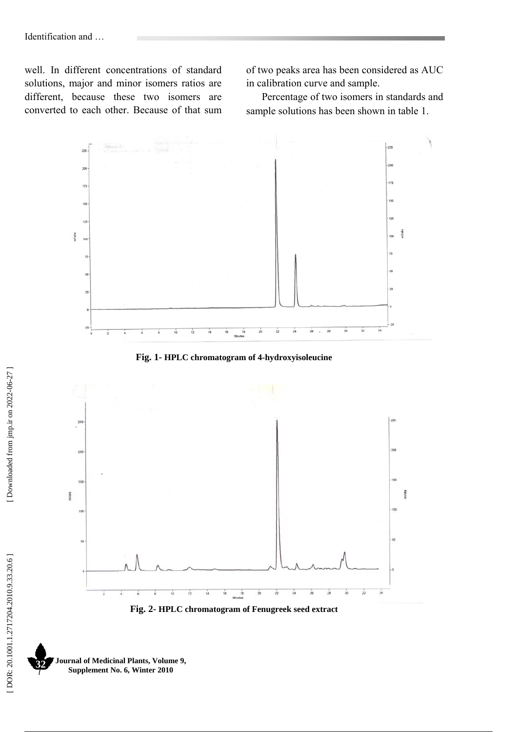well. In different concentrations of standard solutions, major and minor isomers ratios are different, because these two isomers are converted to each other. Because of that sum of two peaks area has been considered as AUC in calibration curve and sample.

Percentage of two isomers in standards and sample solutions has been shown in table 1.



**Fig. 1- HPLC chromatogram of 4-hydroxyisoleucine**



**Journal of Medicinal Plants, Volume 9, Supplement No. 6, Winter 2010 32**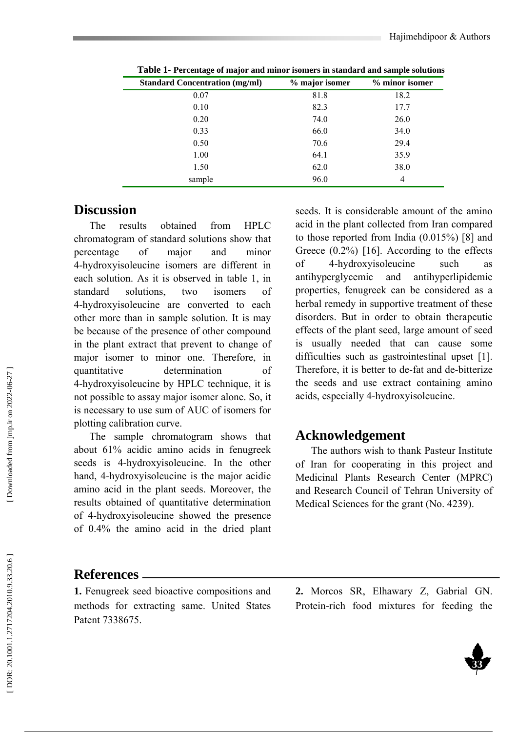| <b>Standard Concentration (mg/ml)</b> | % major isomer | % minor isomer |
|---------------------------------------|----------------|----------------|
| 0.07                                  | 81.8           | 18.2           |
| 0.10                                  | 82.3           | 17.7           |
| 0.20                                  | 74.0           | 26.0           |
| 0.33                                  | 66.0           | 34.0           |
| 0.50                                  | 70.6           | 29.4           |
| 1.00                                  | 64.1           | 35.9           |
| 1.50                                  | 62.0           | 38.0           |
| sample                                | 96.0           | 4              |

**Table 1- Percentage of major and minor isomers in standard and sample solutions**

# **Discussion**

The results obtained from HPLC chromatogram of standard solutions show that percentage of major and minor 4-hydroxyisoleucine isomers are different in each solution. As it is observed in table 1, in standard solutions two isomers of 4-hydroxyisoleucine are converted to each other more than in sample solution. It is may be because of the presence of other compound in the plant extract that prevent to change of major isomer to minor one. Therefore, in quantitative determination of 4-hydroxyisoleucine by HPLC technique, it is not possible to assay major isomer alone. So, it is necessary to use sum of AUC of isomers for plotting calibration curve.

The sample chromatogram shows that about 61% acidic amino acids in fenugreek seeds is 4-hydroxyisoleucine. In the other hand, 4-hydroxyisoleucine is the major acidic amino acid in the plant seeds. Moreover, the results obtained of quantitative determination of 4-hydroxyisoleucine showed the presence of 0.4% the amino acid in the dried plant

seeds. It is considerable amount of the amino acid in the plant collected from Iran compared to those reported from India (0.015%) [8] and Greece (0.2%) [16]. According to the effects of 4-hydroxyisoleucine such as antihyperglycemic and antihyperlipidemic properties, fenugreek can be considered as a herbal remedy in supportive treatment of these disorders. But in order to obtain therapeutic effects of the plant seed, large amount of seed is usually needed that can cause some difficulties such as gastrointestinal upset [1]. Therefore, it is better to de-fat and de-bitterize the seeds and use extract containing amino acids, especially 4-hydroxyisoleucine.

# **Acknowledgement**

The authors wish to thank Pasteur Institute of Iran for cooperating in this project and Medicinal Plants Research Center (MPRC) and Research Council of Tehran University of Medical Sciences for the grant (No. 4239).

## **References**

**1.** Fenugreek seed bioactive compositions and methods for extracting same. United States Patent 7338675.

**2.** Morcos SR, Elhawary Z, Gabrial GN. Protein-rich food mixtures for feeding the